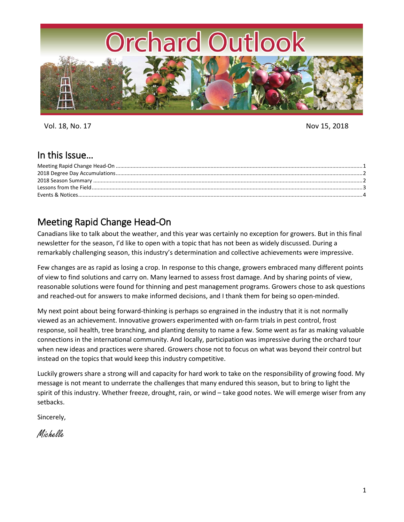

Vol. 18, No. 17 Nov 15, 2018

### In this Issue…

## <span id="page-0-0"></span>Meeting Rapid Change Head-On

Canadians like to talk about the weather, and this year was certainly no exception for growers. But in this final newsletter for the season, I'd like to open with a topic that has not been as widely discussed. During a remarkably challenging season, this industry's determination and collective achievements were impressive.

Few changes are as rapid as losing a crop. In response to this change, growers embraced many different points of view to find solutions and carry on. Many learned to assess frost damage. And by sharing points of view, reasonable solutions were found for thinning and pest management programs. Growers chose to ask questions and reached-out for answers to make informed decisions, and I thank them for being so open-minded.

My next point about being forward-thinking is perhaps so engrained in the industry that it is not normally viewed as an achievement. Innovative growers experimented with on-farm trials in pest control, frost response, soil health, tree branching, and planting density to name a few. Some went as far as making valuable connections in the international community. And locally, participation was impressive during the orchard tour when new ideas and practices were shared. Growers chose not to focus on what was beyond their control but instead on the topics that would keep this industry competitive.

Luckily growers share a strong will and capacity for hard work to take on the responsibility of growing food. My message is not meant to underrate the challenges that many endured this season, but to bring to light the spirit of this industry. Whether freeze, drought, rain, or wind – take good notes. We will emerge wiser from any setbacks.

Sincerely,

Michelle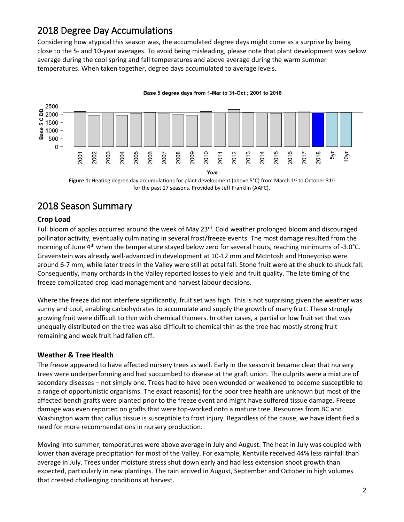# <span id="page-1-0"></span>2018 Degree Day Accumulations

Considering how atypical this season was, the accumulated degree days might come as a surprise by being close to the 5- and 10-year averages. To avoid being misleading, please note that plant development was below average during the cool spring and fall temperatures and above average during the warm summer temperatures. When taken together, degree days accumulated to average levels.



Figure 1: Heating degree day accumulations for plant development (above 5°C) from March 1<sup>st</sup> to October 31<sup>st</sup> for the past 17 seasons. Provided by Jeff Franklin (AAFC).

# <span id="page-1-1"></span>2018 Season Summary

### **Crop Load**

Full bloom of apples occurred around the week of May 23<sup>rd</sup>. Cold weather prolonged bloom and discouraged pollinator activity, eventually culminating in several frost/freeze events. The most damage resulted from the morning of June 4<sup>th</sup> when the temperature stayed below zero for several hours, reaching minimums of -3.0°C. Gravenstein was already well-advanced in development at 10-12 mm and McIntosh and Honeycrisp were around 6-7 mm, while later trees in the Valley were still at petal fall. Stone fruit were at the shuck to shuck fall. Consequently, many orchards in the Valley reported losses to yield and fruit quality. The late timing of the freeze complicated crop load management and harvest labour decisions.

Where the freeze did not interfere significantly, fruit set was high. This is not surprising given the weather was sunny and cool, enabling carbohydrates to accumulate and supply the growth of many fruit. These strongly growing fruit were difficult to thin with chemical thinners. In other cases, a partial or low fruit set that was unequally distributed on the tree was also difficult to chemical thin as the tree had mostly strong fruit remaining and weak fruit had fallen off.

#### **Weather & Tree Health**

The freeze appeared to have affected nursery trees as well. Early in the season it became clear that nursery trees were underperforming and had succumbed to disease at the graft union. The culprits were a mixture of secondary diseases – not simply one. Trees had to have been wounded or weakened to become susceptible to a range of opportunistic organisms. The exact reason(s) for the poor tree health are unknown but most of the affected bench grafts were planted prior to the freeze event and might have suffered tissue damage. Freeze damage was even reported on grafts that were top-worked onto a mature tree. Resources from BC and Washington warn that callus tissue is susceptible to frost injury. Regardless of the cause, we have identified a need for more recommendations in nursery production.

Moving into summer, temperatures were above average in July and August. The heat in July was coupled with lower than average precipitation for most of the Valley. For example, Kentville received 44% less rainfall than average in July. Trees under moisture stress shut down early and had less extension shoot growth than expected, particularly in new plantings. The rain arrived in August, September and October in high volumes that created challenging conditions at harvest.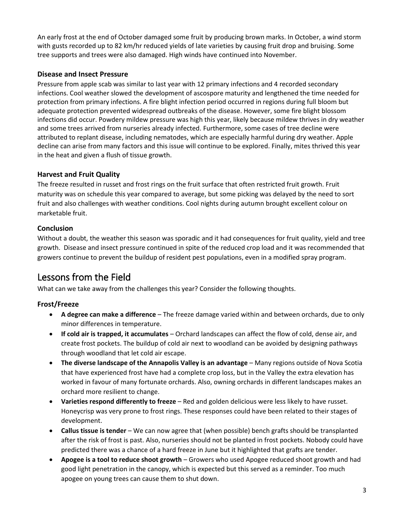An early frost at the end of October damaged some fruit by producing brown marks. In October, a wind storm with gusts recorded up to 82 km/hr reduced yields of late varieties by causing fruit drop and bruising. Some tree supports and trees were also damaged. High winds have continued into November.

#### **Disease and Insect Pressure**

Pressure from apple scab was similar to last year with 12 primary infections and 4 recorded secondary infections. Cool weather slowed the development of ascospore maturity and lengthened the time needed for protection from primary infections. A fire blight infection period occurred in regions during full bloom but adequate protection prevented widespread outbreaks of the disease. However, some fire blight blossom infections did occur. Powdery mildew pressure was high this year, likely because mildew thrives in dry weather and some trees arrived from nurseries already infected. Furthermore, some cases of tree decline were attributed to replant disease, including nematodes, which are especially harmful during dry weather. Apple decline can arise from many factors and this issue will continue to be explored. Finally, mites thrived this year in the heat and given a flush of tissue growth.

### **Harvest and Fruit Quality**

The freeze resulted in russet and frost rings on the fruit surface that often restricted fruit growth. Fruit maturity was on schedule this year compared to average, but some picking was delayed by the need to sort fruit and also challenges with weather conditions. Cool nights during autumn brought excellent colour on marketable fruit.

### **Conclusion**

Without a doubt, the weather this season was sporadic and it had consequences for fruit quality, yield and tree growth. Disease and insect pressure continued in spite of the reduced crop load and it was recommended that growers continue to prevent the buildup of resident pest populations, even in a modified spray program.

# <span id="page-2-0"></span>Lessons from the Field

What can we take away from the challenges this year? Consider the following thoughts.

### **Frost/Freeze**

- **A degree can make a difference** The freeze damage varied within and between orchards, due to only minor differences in temperature.
- **If cold air is trapped, it accumulates** Orchard landscapes can affect the flow of cold, dense air, and create frost pockets. The buildup of cold air next to woodland can be avoided by designing pathways through woodland that let cold air escape.
- **The diverse landscape of the Annapolis Valley is an advantage** Many regions outside of Nova Scotia that have experienced frost have had a complete crop loss, but in the Valley the extra elevation has worked in favour of many fortunate orchards. Also, owning orchards in different landscapes makes an orchard more resilient to change.
- **Varieties respond differently to freeze** Red and golden delicious were less likely to have russet. Honeycrisp was very prone to frost rings. These responses could have been related to their stages of development.
- **Callus tissue is tender** We can now agree that (when possible) bench grafts should be transplanted after the risk of frost is past. Also, nurseries should not be planted in frost pockets. Nobody could have predicted there was a chance of a hard freeze in June but it highlighted that grafts are tender.
- **Apogee is a tool to reduce shoot growth** Growers who used Apogee reduced shoot growth and had good light penetration in the canopy, which is expected but this served as a reminder. Too much apogee on young trees can cause them to shut down.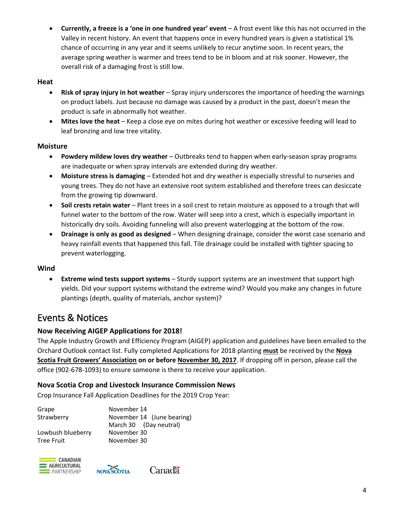**Currently, a freeze is a 'one in one hundred year' event** – A frost event like this has not occurred in the Valley in recent history. An event that happens once in every hundred years is given a statistical 1% chance of occurring in any year and it seems unlikely to recur anytime soon. In recent years, the average spring weather is warmer and trees tend to be in bloom and at risk sooner. However, the overall risk of a damaging frost is still low.

#### **Heat**

- **Risk of spray injury in hot weather** Spray injury underscores the importance of heeding the warnings on product labels. Just because no damage was caused by a product in the past, doesn't mean the product is safe in abnormally hot weather.
- **Mites love the heat**  Keep a close eye on mites during hot weather or excessive feeding will lead to leaf bronzing and low tree vitality.

#### **Moisture**

- **Powdery mildew loves dry weather**  Outbreaks tend to happen when early-season spray programs are inadequate or when spray intervals are extended during dry weather.
- **Moisture stress is damaging** Extended hot and dry weather is especially stressful to nurseries and young trees. They do not have an extensive root system established and therefore trees can desiccate from the growing tip downward.
- **Soil crests retain water** Plant trees in a soil crest to retain moisture as opposed to a trough that will funnel water to the bottom of the row. Water will seep into a crest, which is especially important in historically dry soils. Avoiding funneling will also prevent waterlogging at the bottom of the row.
- **Drainage is only as good as designed** When designing drainage, consider the worst case scenario and heavy rainfall events that happened this fall. Tile drainage could be installed with tighter spacing to prevent waterlogging.

#### **Wind**

 **Extreme wind tests support systems** – Sturdy support systems are an investment that support high yields. Did your support systems withstand the extreme wind? Would you make any changes in future plantings (depth, quality of materials, anchor system)?

## <span id="page-3-0"></span>Events & Notices

#### **Now Receiving AIGEP Applications for 2018!**

The Apple Industry Growth and Efficiency Program (AIGEP) application and guidelines have been emailed to the Orchard Outlook contact list. Fully completed Applications for 2018 planting **must** be received by the **Nova Scotia Fruit Growers' Association on or before November 30, 2017**. If dropping off in person, please call the office (902-678-1093) to ensure someone is there to receive your application.

#### **Nova Scotia Crop and Livestock Insurance Commission News**

Crop Insurance Fall Application Deadlines for the 2019 Crop Year:

| Grape             | November 14                |
|-------------------|----------------------------|
| Strawberry        | November 14 (June bearing) |
|                   | March 30 (Day neutral)     |
| Lowbush blueberry | November 30                |
| <b>Tree Fruit</b> | November 30                |





Canadä